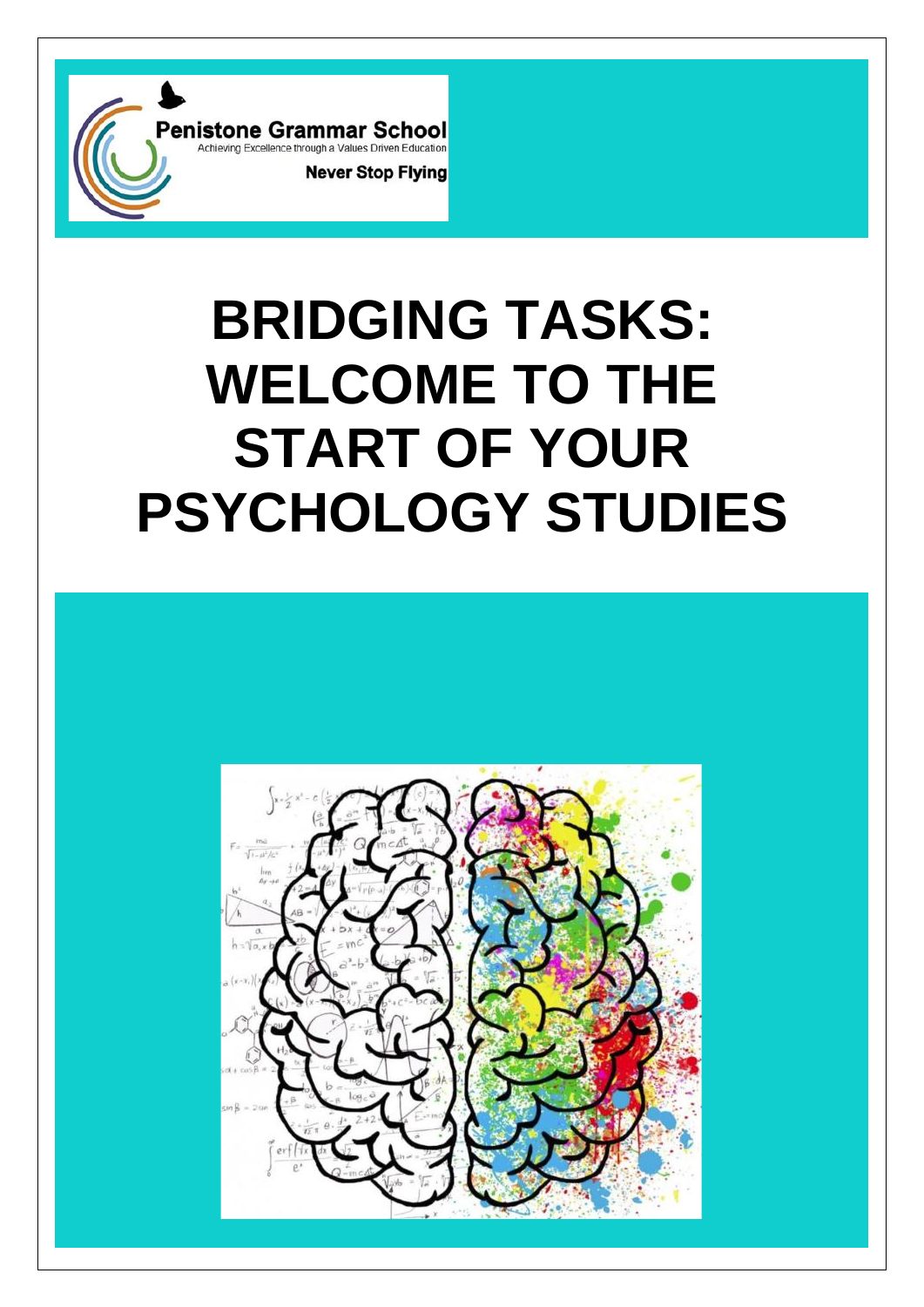

# **BRIDGING TASKS: WELCOME TO THE START OF YOUR PSYCHOLOGY STUDIES**

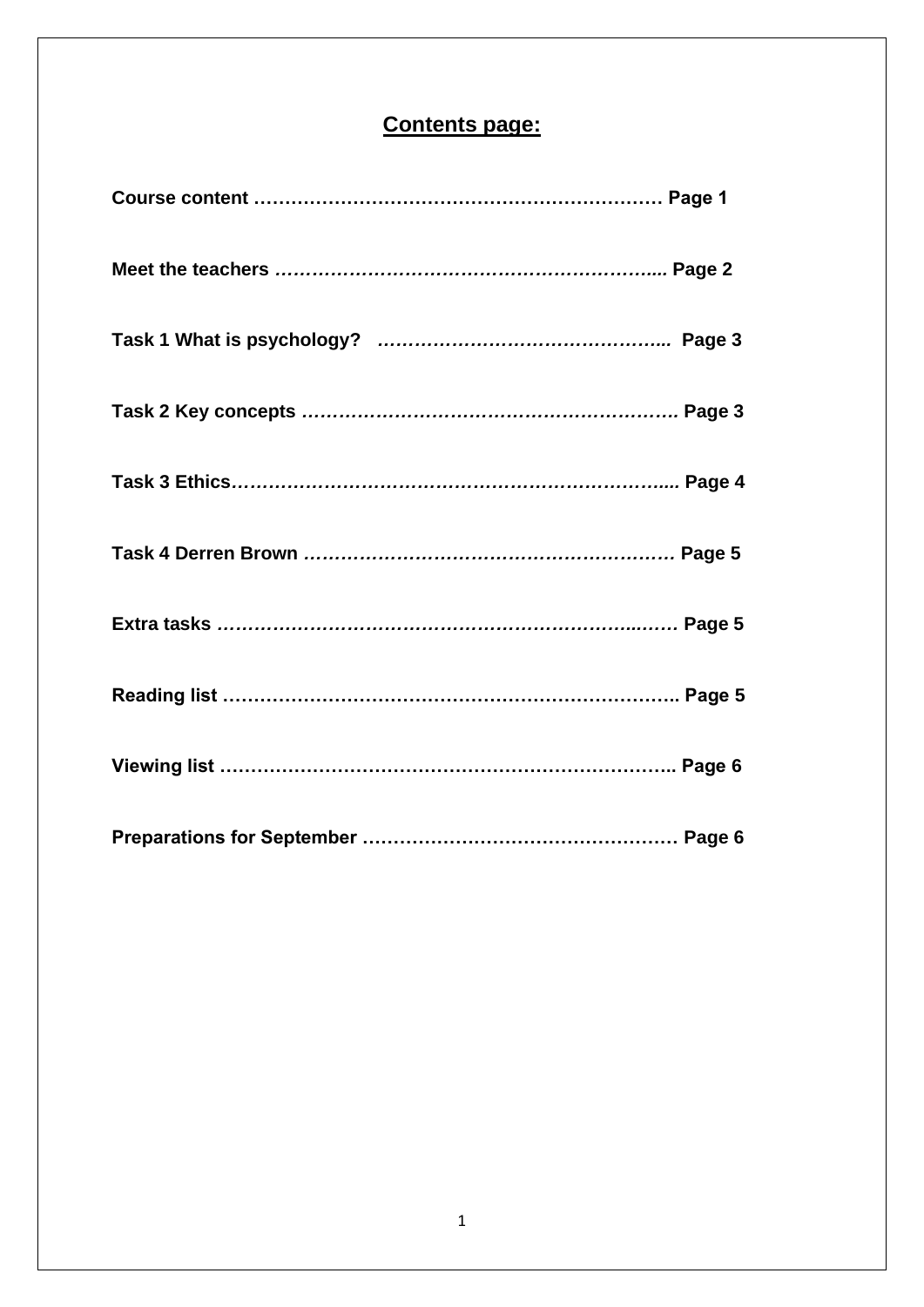# **Contents page:**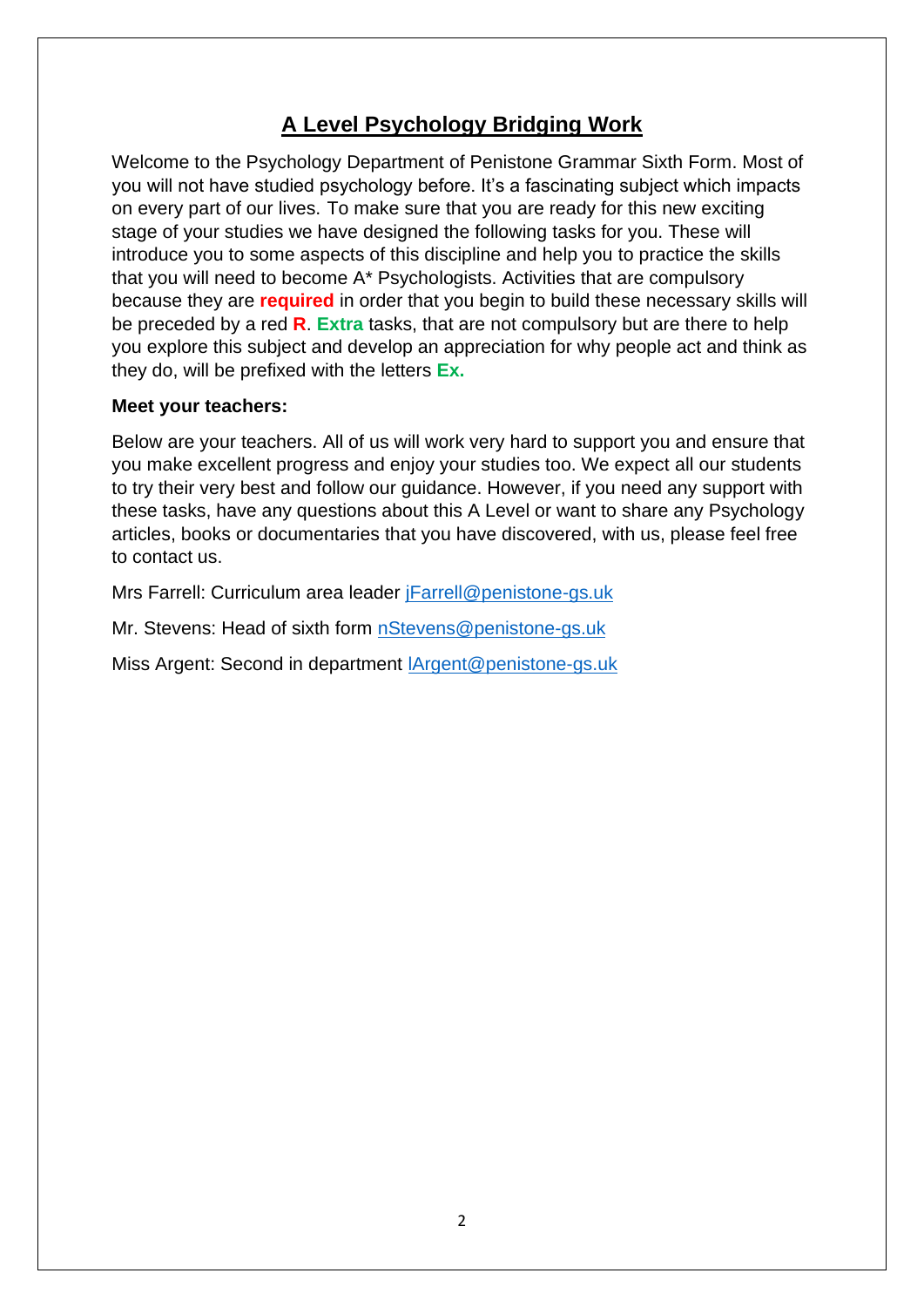## **A Level Psychology Bridging Work**

Welcome to the Psychology Department of Penistone Grammar Sixth Form. Most of you will not have studied psychology before. It's a fascinating subject which impacts on every part of our lives. To make sure that you are ready for this new exciting stage of your studies we have designed the following tasks for you. These will introduce you to some aspects of this discipline and help you to practice the skills that you will need to become A\* Psychologists. Activities that are compulsory because they are **required** in order that you begin to build these necessary skills will be preceded by a red **R**. **Extra** tasks, that are not compulsory but are there to help you explore this subject and develop an appreciation for why people act and think as they do, will be prefixed with the letters **Ex.**

#### **Meet your teachers:**

Below are your teachers. All of us will work very hard to support you and ensure that you make excellent progress and enjoy your studies too. We expect all our students to try their very best and follow our guidance. However, if you need any support with these tasks, have any questions about this A Level or want to share any Psychology articles, books or documentaries that you have discovered, with us, please feel free to contact us.

Mrs Farrell: Curriculum area leader [jFarrell@penistone-gs.uk](mailto:jFarrell@penistone-gs.uk)

Mr. Stevens: Head of sixth form [nStevens@penistone-gs.uk](mailto:nStevens@penistone-gs.uk)

Miss Argent: Second in department [lArgent@penistone-gs.uk](mailto:lArgent@penistone-gs.uk)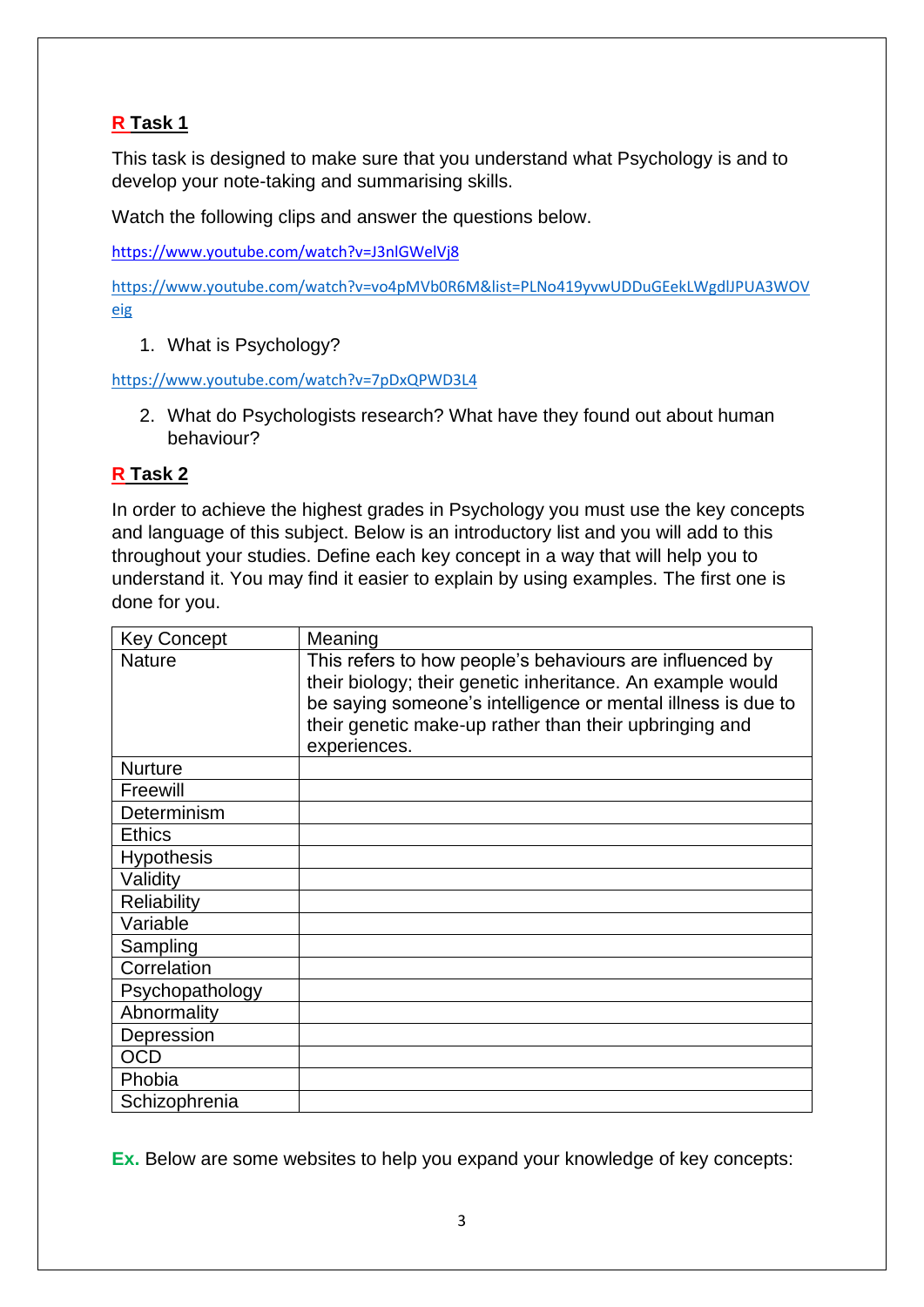## **R Task 1**

This task is designed to make sure that you understand what Psychology is and to develop your note-taking and summarising skills.

Watch the following clips and answer the questions below.

<https://www.youtube.com/watch?v=J3nlGWelVj8>

[https://www.youtube.com/watch?v=vo4pMVb0R6M&list=PLNo419yvwUDDuGEekLWgdlJPUA3WOV](https://www.youtube.com/watch?v=vo4pMVb0R6M&list=PLNo419yvwUDDuGEekLWgdlJPUA3WOVeig) [eig](https://www.youtube.com/watch?v=vo4pMVb0R6M&list=PLNo419yvwUDDuGEekLWgdlJPUA3WOVeig)

1. What is Psychology?

<https://www.youtube.com/watch?v=7pDxQPWD3L4>

2. What do Psychologists research? What have they found out about human behaviour?

### **R Task 2**

In order to achieve the highest grades in Psychology you must use the key concepts and language of this subject. Below is an introductory list and you will add to this throughout your studies. Define each key concept in a way that will help you to understand it. You may find it easier to explain by using examples. The first one is done for you.

| <b>Key Concept</b> | Meaning                                                                                                                                                                                |
|--------------------|----------------------------------------------------------------------------------------------------------------------------------------------------------------------------------------|
| <b>Nature</b>      | This refers to how people's behaviours are influenced by<br>their biology; their genetic inheritance. An example would<br>be saying someone's intelligence or mental illness is due to |
|                    | their genetic make-up rather than their upbringing and<br>experiences.                                                                                                                 |
| <b>Nurture</b>     |                                                                                                                                                                                        |
| Freewill           |                                                                                                                                                                                        |
| Determinism        |                                                                                                                                                                                        |
| <b>Ethics</b>      |                                                                                                                                                                                        |
| <b>Hypothesis</b>  |                                                                                                                                                                                        |
| Validity           |                                                                                                                                                                                        |
| <b>Reliability</b> |                                                                                                                                                                                        |
| Variable           |                                                                                                                                                                                        |
| Sampling           |                                                                                                                                                                                        |
| Correlation        |                                                                                                                                                                                        |
| Psychopathology    |                                                                                                                                                                                        |
| Abnormality        |                                                                                                                                                                                        |
| Depression         |                                                                                                                                                                                        |
| <b>OCD</b>         |                                                                                                                                                                                        |
| Phobia             |                                                                                                                                                                                        |
| Schizophrenia      |                                                                                                                                                                                        |

**Ex.** Below are some websites to help you expand your knowledge of key concepts: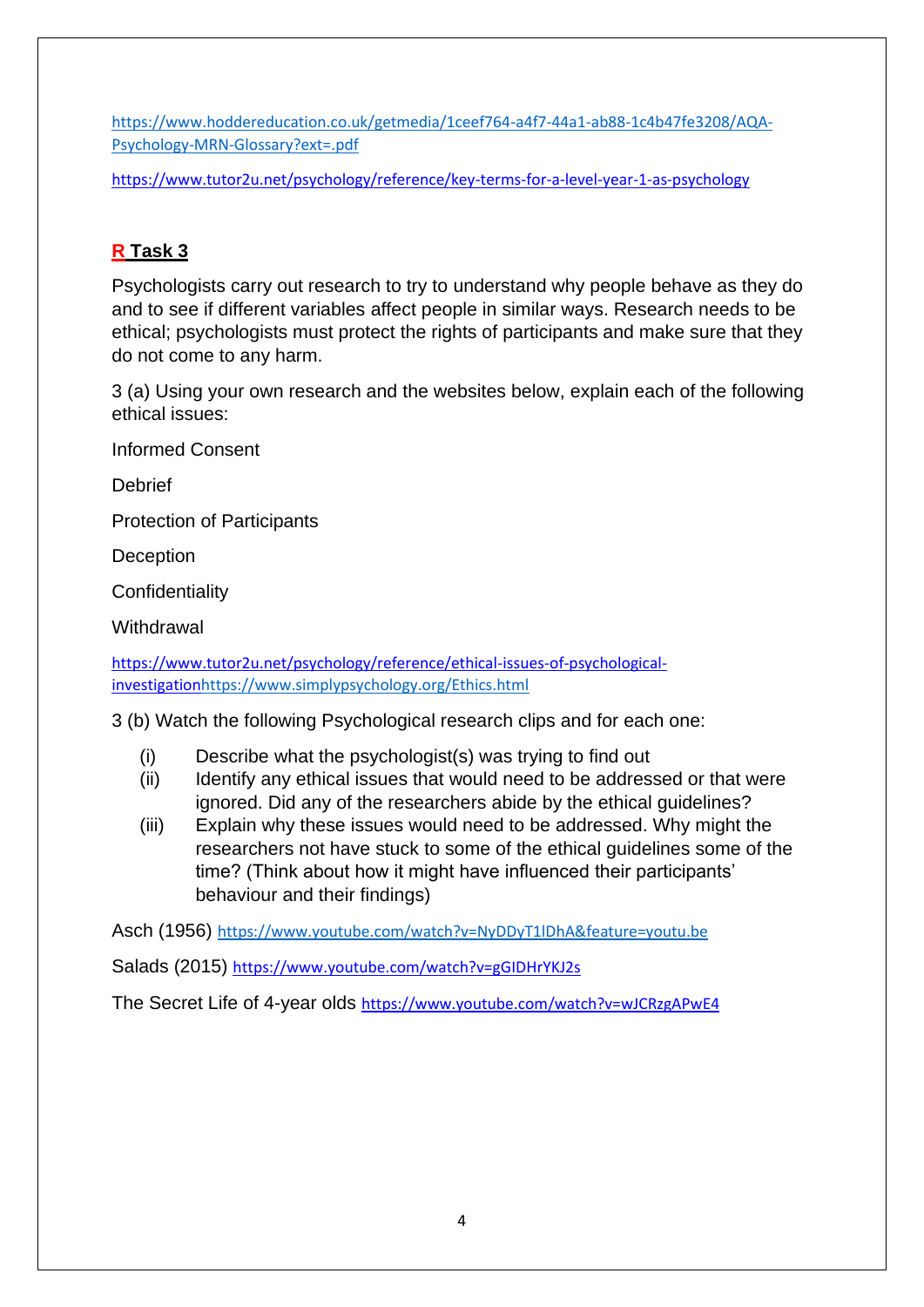[https://www.hoddereducation.co.uk/getmedia/1ceef764-a4f7-44a1-ab88-1c4b47fe3208/AQA-](https://www.hoddereducation.co.uk/getmedia/1ceef764-a4f7-44a1-ab88-1c4b47fe3208/AQA-Psychology-MRN-Glossary?ext=.pdf)[Psychology-MRN-Glossary?ext=.pdf](https://www.hoddereducation.co.uk/getmedia/1ceef764-a4f7-44a1-ab88-1c4b47fe3208/AQA-Psychology-MRN-Glossary?ext=.pdf)

<https://www.tutor2u.net/psychology/reference/key-terms-for-a-level-year-1-as-psychology>

## **R Task 3**

Psychologists carry out research to try to understand why people behave as they do and to see if different variables affect people in similar ways. Research needs to be ethical; psychologists must protect the rights of participants and make sure that they do not come to any harm.

3 (a) Using your own research and the websites below, explain each of the following ethical issues:

Informed Consent

**Debrief** 

Protection of Participants

**Deception** 

**Confidentiality** 

**Withdrawal** 

https://www.tutor2u.net/psychology/reference/ethical-issues-of-psychologicalinvestigatio[nhttps://www.simplypsychology.org/Ethics.html](https://www.simplypsychology.org/Ethics.html)

3 (b) Watch the following Psychological research clips and for each one:

- (i) Describe what the psychologist(s) was trying to find out
- (ii) Identify any ethical issues that would need to be addressed or that were ignored. Did any of the researchers abide by the ethical guidelines?
- (iii) Explain why these issues would need to be addressed. Why might the researchers not have stuck to some of the ethical guidelines some of the time? (Think about how it might have influenced their participants' behaviour and their findings)

Asch (1956) <https://www.youtube.com/watch?v=NyDDyT1lDhA&feature=youtu.be>

Salads (2015) <https://www.youtube.com/watch?v=gGIDHrYKJ2s>

The Secret Life of 4-year olds <https://www.youtube.com/watch?v=wJCRzgAPwE4>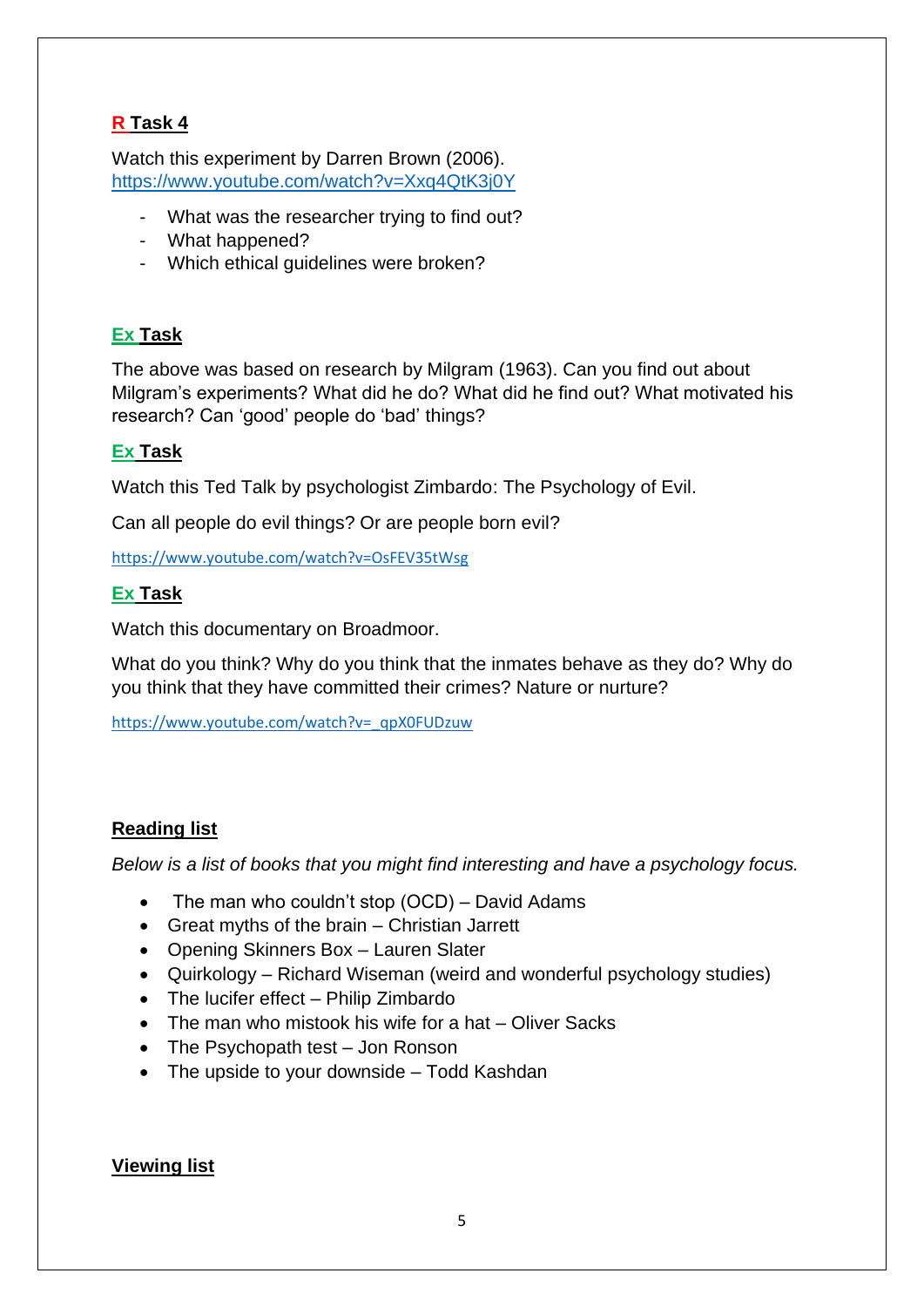## **R Task 4**

Watch this experiment by Darren Brown (2006). <https://www.youtube.com/watch?v=Xxq4QtK3j0Y>

- What was the researcher trying to find out?
- What happened?
- Which ethical guidelines were broken?

## **Ex Task**

The above was based on research by Milgram (1963). Can you find out about Milgram's experiments? What did he do? What did he find out? What motivated his research? Can 'good' people do 'bad' things?

## **Ex Task**

Watch this Ted Talk by psychologist Zimbardo: The Psychology of Evil.

Can all people do evil things? Or are people born evil?

<https://www.youtube.com/watch?v=OsFEV35tWsg>

### **Ex Task**

Watch this documentary on Broadmoor.

What do you think? Why do you think that the inmates behave as they do? Why do you think that they have committed their crimes? Nature or nurture?

[https://www.youtube.com/watch?v=\\_qpX0FUDzuw](https://www.youtube.com/watch?v=_qpX0FUDzuw)

### **Reading list**

*Below is a list of books that you might find interesting and have a psychology focus.* 

- The man who couldn't stop (OCD) David Adams
- Great myths of the brain Christian Jarrett
- Opening Skinners Box Lauren Slater
- Quirkology Richard Wiseman (weird and wonderful psychology studies)
- The lucifer effect Philip Zimbardo
- The man who mistook his wife for a hat Oliver Sacks
- The Psychopath test Jon Ronson
- The upside to your downside Todd Kashdan

#### **Viewing list**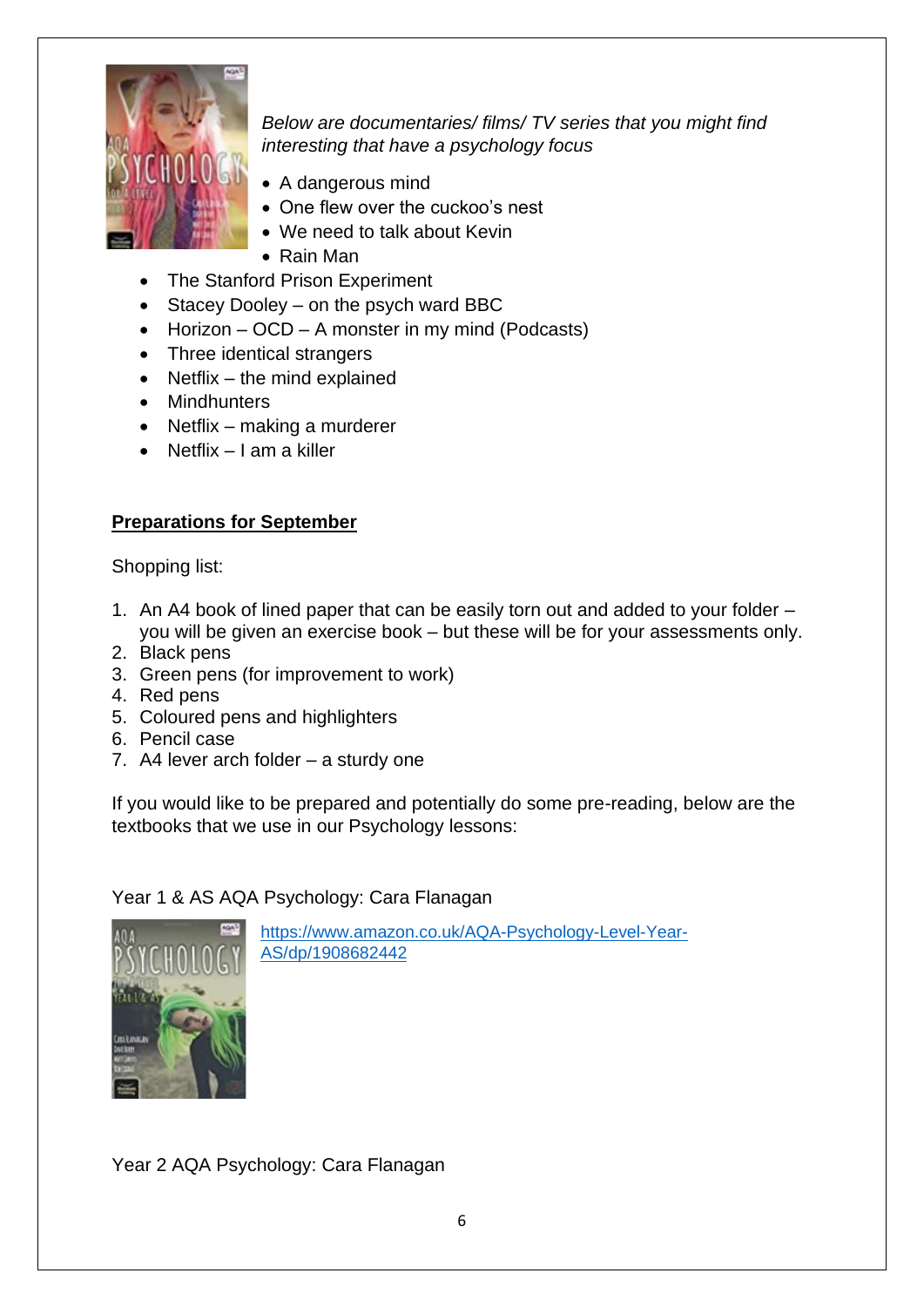

*Below are documentaries/ films/ TV series that you might find interesting that have a psychology focus* 

- A dangerous mind
- One flew over the cuckoo's nest
- We need to talk about Kevin
- Rain Man
- The Stanford Prison Experiment
- Stacey Dooley on the psych ward BBC
- Horizon OCD A monster in my mind (Podcasts)
- Three identical strangers
- Netflix the mind explained
- Mindhunters
- Netflix making a murderer
- Netflix I am a killer

## **Preparations for September**

Shopping list:

- 1. An A4 book of lined paper that can be easily torn out and added to your folder you will be given an exercise book – but these will be for your assessments only.
- 2. Black pens
- 3. Green pens (for improvement to work)
- 4. Red pens
- 5. Coloured pens and highlighters
- 6. Pencil case
- 7. A4 lever arch folder a sturdy one

If you would like to be prepared and potentially do some pre-reading, below are the textbooks that we use in our Psychology lessons:

### Year 1 & AS AQA Psychology: Cara Flanagan



[https://www.amazon.co.uk/AQA-Psychology-Level-Year-](https://www.amazon.co.uk/AQA-Psychology-Level-Year-AS/dp/1908682442)[AS/dp/1908682442](https://www.amazon.co.uk/AQA-Psychology-Level-Year-AS/dp/1908682442)

Year 2 AQA Psychology: Cara Flanagan